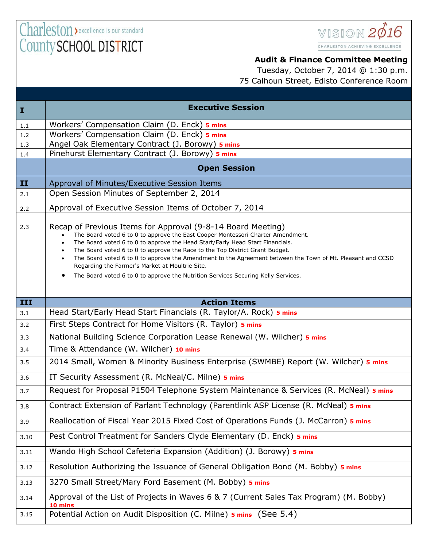

## **Audit & Finance Committee Meeting**

Tuesday, October 7, 2014 @ 1:30 p.m. 75 Calhoun Street, Edisto Conference Room

| $\mathbf{I}$ | <b>Executive Session</b>                                                                                                                                                                                                                                                                                                                                                                                                                                                                                                                                              |
|--------------|-----------------------------------------------------------------------------------------------------------------------------------------------------------------------------------------------------------------------------------------------------------------------------------------------------------------------------------------------------------------------------------------------------------------------------------------------------------------------------------------------------------------------------------------------------------------------|
| $1.1\,$      | Workers' Compensation Claim (D. Enck) 5 mins                                                                                                                                                                                                                                                                                                                                                                                                                                                                                                                          |
| 1.2          | Workers' Compensation Claim (D. Enck) 5 mins                                                                                                                                                                                                                                                                                                                                                                                                                                                                                                                          |
| 1.3          | Angel Oak Elementary Contract (J. Borowy) 5 mins                                                                                                                                                                                                                                                                                                                                                                                                                                                                                                                      |
| 1.4          | Pinehurst Elementary Contract (J. Borowy) 5 mins                                                                                                                                                                                                                                                                                                                                                                                                                                                                                                                      |
|              | <b>Open Session</b>                                                                                                                                                                                                                                                                                                                                                                                                                                                                                                                                                   |
| II           | Approval of Minutes/Executive Session Items                                                                                                                                                                                                                                                                                                                                                                                                                                                                                                                           |
| 2.1          | Open Session Minutes of September 2, 2014                                                                                                                                                                                                                                                                                                                                                                                                                                                                                                                             |
| 2.2          | Approval of Executive Session Items of October 7, 2014                                                                                                                                                                                                                                                                                                                                                                                                                                                                                                                |
| 2.3          | Recap of Previous Items for Approval (9-8-14 Board Meeting)<br>The Board voted 6 to 0 to approve the East Cooper Montessori Charter Amendment.<br>The Board voted 6 to 0 to approve the Head Start/Early Head Start Financials.<br>The Board voted 6 to 0 to approve the Race to the Top District Grant Budget.<br>The Board voted 6 to 0 to approve the Amendment to the Agreement between the Town of Mt. Pleasant and CCSD<br>Regarding the Farmer's Market at Moultrie Site.<br>The Board voted 6 to 0 to approve the Nutrition Services Securing Kelly Services. |
| III          | <b>Action Items</b>                                                                                                                                                                                                                                                                                                                                                                                                                                                                                                                                                   |
| 3.1          | Head Start/Early Head Start Financials (R. Taylor/A. Rock) 5 mins                                                                                                                                                                                                                                                                                                                                                                                                                                                                                                     |
| 3.2          | First Steps Contract for Home Visitors (R. Taylor) 5 mins                                                                                                                                                                                                                                                                                                                                                                                                                                                                                                             |
| 3.3          | National Building Science Corporation Lease Renewal (W. Wilcher) 5 mins                                                                                                                                                                                                                                                                                                                                                                                                                                                                                               |
| 3.4          | Time & Attendance (W. Wilcher) 10 mins                                                                                                                                                                                                                                                                                                                                                                                                                                                                                                                                |
| 3.5          | 2014 Small, Women & Minority Business Enterprise (SWMBE) Report (W. Wilcher) 5 mins                                                                                                                                                                                                                                                                                                                                                                                                                                                                                   |
| 3.6          | IT Security Assessment (R. McNeal/C. Milne) 5 mins                                                                                                                                                                                                                                                                                                                                                                                                                                                                                                                    |
| 3.7          | Request for Proposal P1504 Telephone System Maintenance & Services (R. McNeal) 5 mins                                                                                                                                                                                                                                                                                                                                                                                                                                                                                 |
| 3.8          | Contract Extension of Parlant Technology (Parentlink ASP License (R. McNeal) 5 mins                                                                                                                                                                                                                                                                                                                                                                                                                                                                                   |
| 3.9          | Reallocation of Fiscal Year 2015 Fixed Cost of Operations Funds (J. McCarron) 5 mins                                                                                                                                                                                                                                                                                                                                                                                                                                                                                  |
| 3.10         | Pest Control Treatment for Sanders Clyde Elementary (D. Enck) 5 mins                                                                                                                                                                                                                                                                                                                                                                                                                                                                                                  |
| 3.11         | Wando High School Cafeteria Expansion (Addition) (J. Borowy) 5 mins                                                                                                                                                                                                                                                                                                                                                                                                                                                                                                   |
| 3.12         | Resolution Authorizing the Issuance of General Obligation Bond (M. Bobby) 5 mins                                                                                                                                                                                                                                                                                                                                                                                                                                                                                      |
| 3.13         | 3270 Small Street/Mary Ford Easement (M. Bobby) 5 mins                                                                                                                                                                                                                                                                                                                                                                                                                                                                                                                |
| 3.14         | Approval of the List of Projects in Waves 6 & 7 (Current Sales Tax Program) (M. Bobby)                                                                                                                                                                                                                                                                                                                                                                                                                                                                                |
| 3.15         | Potential Action on Audit Disposition (C. Milne) 5 mins (See 5.4)                                                                                                                                                                                                                                                                                                                                                                                                                                                                                                     |